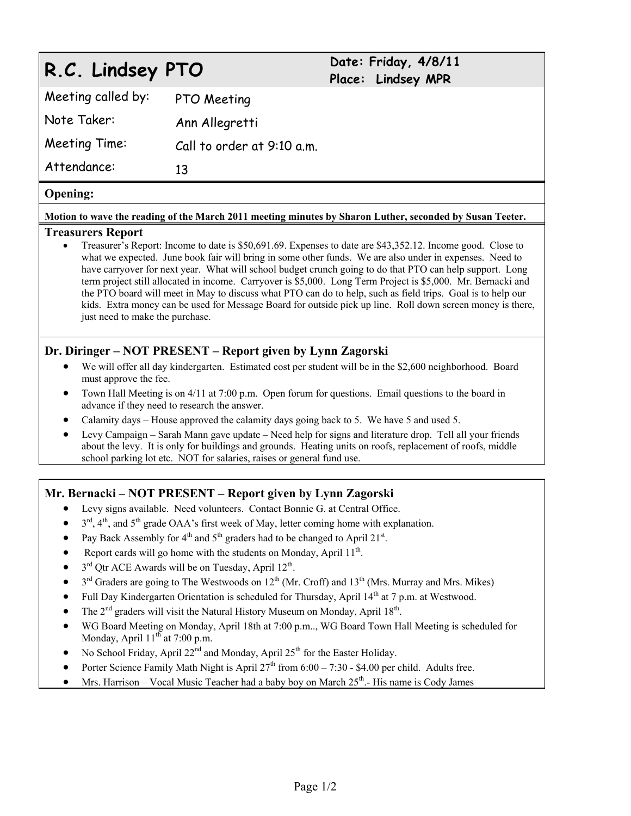# **R.C. Lindsey PTO Date: Friday, 4/8/11**

# **Place: Lindsey MPR**

| Meeting called by: | PTO Meeting                |
|--------------------|----------------------------|
| Note Taker:        | Ann Allegretti             |
| Meeting Time:      | Call to order at 9:10 a.m. |
| Attendance:        | 13                         |

#### **Opening:**

#### **Motion to wave the reading of the March 2011 meeting minutes by Sharon Luther, seconded by Susan Teeter.**

#### **Treasurers Report**

 Treasurer's Report: Income to date is \$50,691.69. Expenses to date are \$43,352.12. Income good. Close to what we expected. June book fair will bring in some other funds. We are also under in expenses. Need to have carryover for next year. What will school budget crunch going to do that PTO can help support. Long term project still allocated in income. Carryover is \$5,000. Long Term Project is \$5,000. Mr. Bernacki and the PTO board will meet in May to discuss what PTO can do to help, such as field trips. Goal is to help our kids. Extra money can be used for Message Board for outside pick up line. Roll down screen money is there, just need to make the purchase.

### **Dr. Diringer – NOT PRESENT – Report given by Lynn Zagorski**

- We will offer all day kindergarten. Estimated cost per student will be in the \$2,600 neighborhood. Board must approve the fee.
- Town Hall Meeting is on 4/11 at 7:00 p.m. Open forum for questions. Email questions to the board in advance if they need to research the answer.
- Calamity days House approved the calamity days going back to 5. We have 5 and used 5.
- Levy Campaign Sarah Mann gave update Need help for signs and literature drop. Tell all your friends about the levy. It is only for buildings and grounds. Heating units on roofs, replacement of roofs, middle school parking lot etc. NOT for salaries, raises or general fund use.

#### **Mr. Bernacki – NOT PRESENT – Report given by Lynn Zagorski**

- Levy signs available. Need volunteers. Contact Bonnie G. at Central Office.
- $3<sup>rd</sup>$ ,  $4<sup>th</sup>$ , and  $5<sup>th</sup>$  grade OAA's first week of May, letter coming home with explanation.
- Pay Back Assembly for  $4<sup>th</sup>$  and  $5<sup>th</sup>$  graders had to be changed to April 21<sup>st</sup>.
- Report cards will go home with the students on Monday, April  $11<sup>th</sup>$ .
- $\bullet$  3<sup>rd</sup> Qtr ACE Awards will be on Tuesday, April 12<sup>th</sup>.
- $\bullet$  3<sup>rd</sup> Graders are going to The Westwoods on 12<sup>th</sup> (Mr. Croff) and 13<sup>th</sup> (Mrs. Murray and Mrs. Mikes)
- Full Day Kindergarten Orientation is scheduled for Thursday, April  $14<sup>th</sup>$  at 7 p.m. at Westwood.
- The  $2<sup>nd</sup>$  graders will visit the Natural History Museum on Monday, April 18<sup>th</sup>.
- WG Board Meeting on Monday, April 18th at 7:00 p.m.., WG Board Town Hall Meeting is scheduled for Monday, April  $11^{th}$  at 7:00 p.m.
- No School Friday, April 22<sup>nd</sup> and Monday, April 25<sup>th</sup> for the Easter Holiday.
- Porter Science Family Math Night is April  $27<sup>th</sup>$  from  $6:00 7:30$  \$4.00 per child. Adults free.
- Mrs. Harrison Vocal Music Teacher had a baby boy on March  $25<sup>th</sup>$ . His name is Cody James